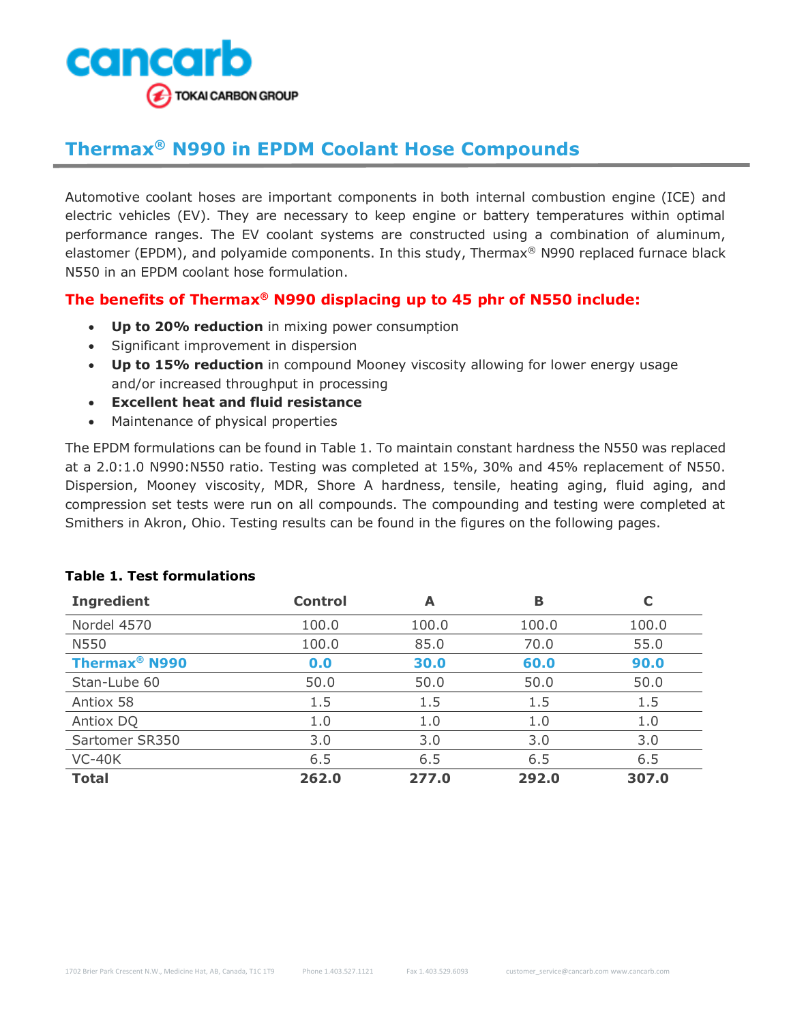

## **Thermax® N990 in EPDM Coolant Hose Compounds**

Automotive coolant hoses are important components in both internal combustion engine (ICE) and electric vehicles (EV). They are necessary to keep engine or battery temperatures within optimal performance ranges. The EV coolant systems are constructed using a combination of aluminum, elastomer (EPDM), and polyamide components. In this study, Thermax<sup>®</sup> N990 replaced furnace black N550 in an EPDM coolant hose formulation.

## **The benefits of Thermax® N990 displacing up to 45 phr of N550 include:**

- **Up to 20% reduction** in mixing power consumption
- Significant improvement in dispersion
- **Up to 15% reduction** in compound Mooney viscosity allowing for lower energy usage and/or increased throughput in processing
- **Excellent heat and fluid resistance**
- Maintenance of physical properties

The EPDM formulations can be found in Table 1. To maintain constant hardness the N550 was replaced at a 2.0:1.0 N990:N550 ratio. Testing was completed at 15%, 30% and 45% replacement of N550. Dispersion, Mooney viscosity, MDR, Shore A hardness, tensile, heating aging, fluid aging, and compression set tests were run on all compounds. The compounding and testing were completed at Smithers in Akron, Ohio. Testing results can be found in the figures on the following pages.

| <b>Ingredient</b>               | <b>Control</b> | А     | в     | C     |
|---------------------------------|----------------|-------|-------|-------|
| Nordel 4570                     | 100.0          | 100.0 | 100.0 | 100.0 |
| N550                            | 100.0          | 85.0  | 70.0  | 55.0  |
| <b>Thermax<sup>®</sup> N990</b> | 0.0            | 30.0  | 60.0  | 90.0  |
| Stan-Lube 60                    | 50.0           | 50.0  | 50.0  | 50.0  |
| Antiox 58                       | 1.5            | 1.5   | 1.5   | 1.5   |
| Antiox DQ                       | 1.0            | 1.0   | 1.0   | 1.0   |
| Sartomer SR350                  | 3.0            | 3.0   | 3.0   | 3.0   |
| $VC-40K$                        | 6.5            | 6.5   | 6.5   | 6.5   |
| <b>Total</b>                    | 262.0          | 277.0 | 292.0 | 307.0 |

## **Table 1. Test formulations**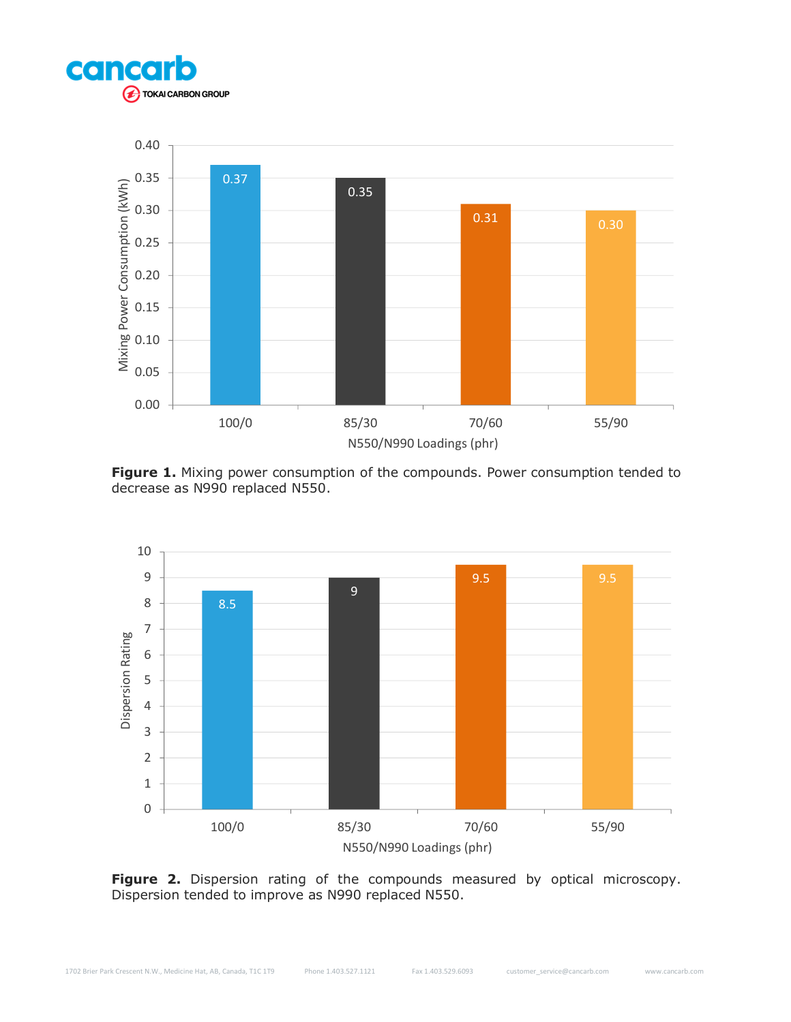



**Figure 1.** Mixing power consumption of the compounds. Power consumption tended to decrease as N990 replaced N550.



Figure 2. Dispersion rating of the compounds measured by optical microscopy. Dispersion tended to improve as N990 replaced N550.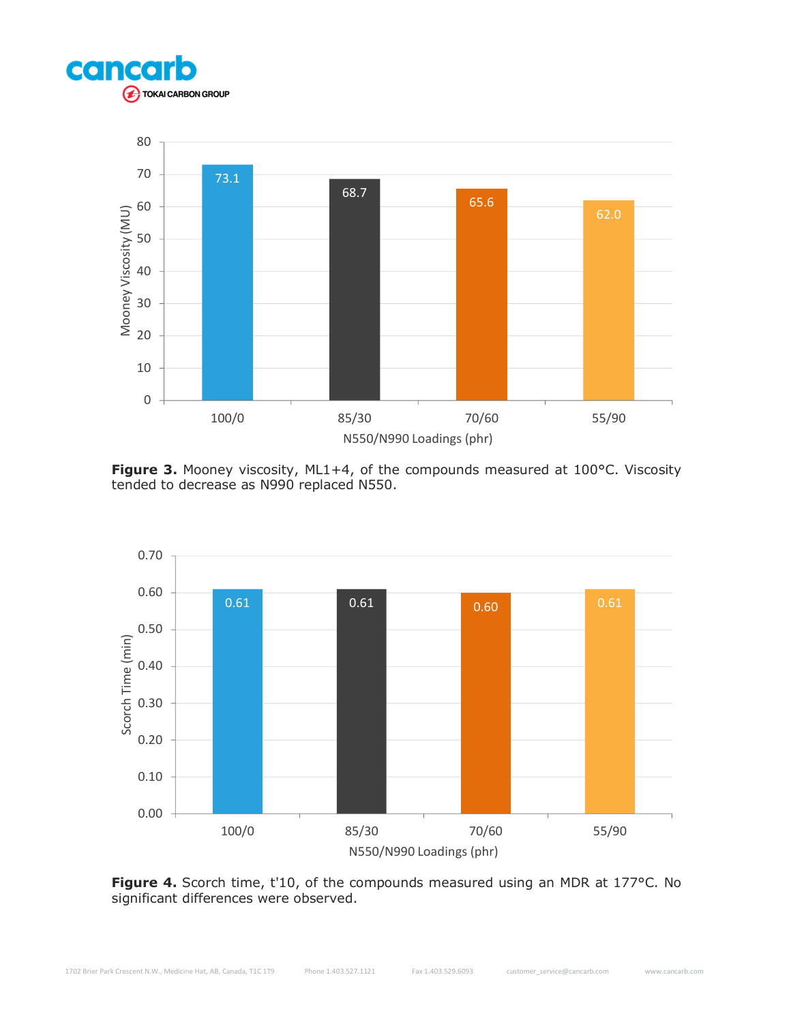



Figure 3. Mooney viscosity, ML1+4, of the compounds measured at 100°C. Viscosity tended to decrease as N990 replaced N550.



Figure 4. Scorch time, t'10, of the compounds measured using an MDR at 177°C. No significant differences were observed.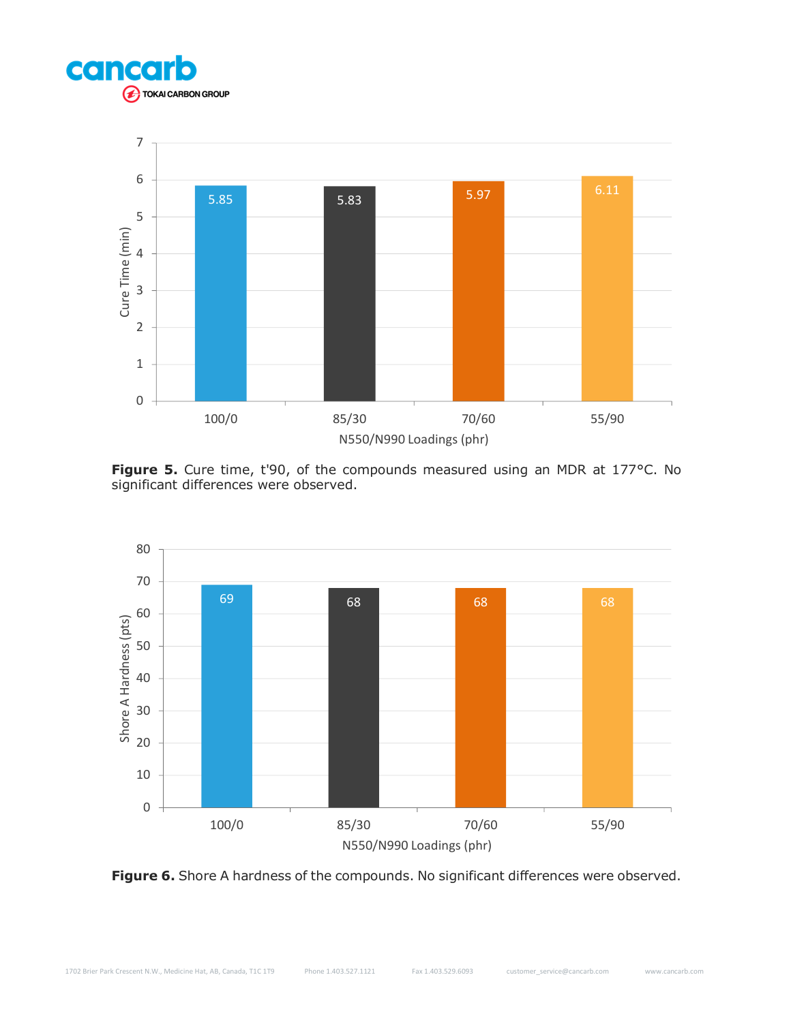



Figure 5. Cure time, t'90, of the compounds measured using an MDR at 177°C. No significant differences were observed.



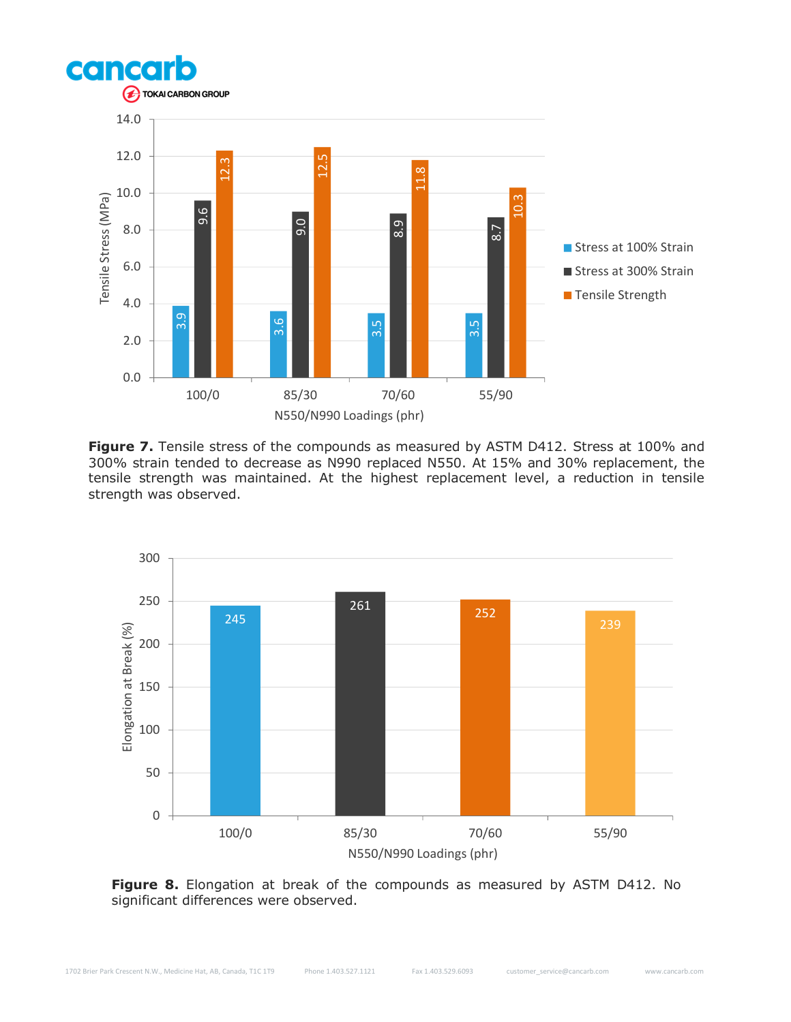

Figure 7. Tensile stress of the compounds as measured by ASTM D412. Stress at 100% and 300% strain tended to decrease as N990 replaced N550. At 15% and 30% replacement, the tensile strength was maintained. At the highest replacement level, a reduction in tensile strength was observed.



Figure 8. Elongation at break of the compounds as measured by ASTM D412. No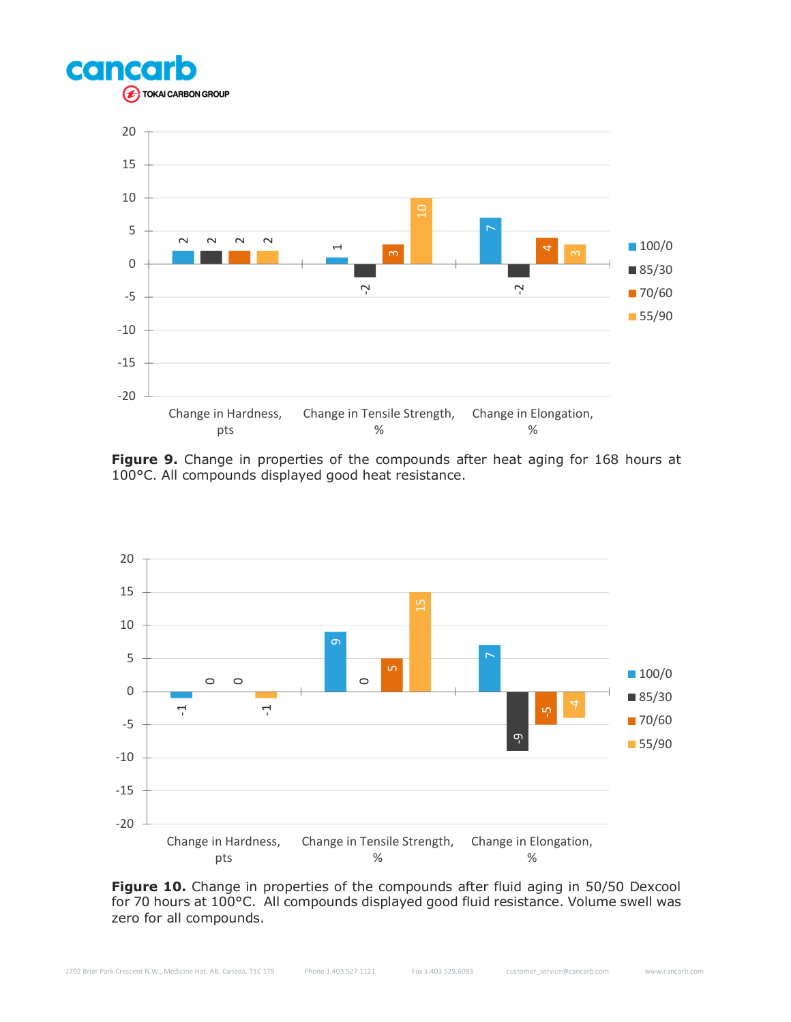



**Figure 9.** Change in properties of the compounds after heat aging for 168 hours at 100°C. All compounds displayed good heat resistance.



Figure 10. Change in properties of the compounds after fluid aging in 50/50 Dexcool for 70 hours at 100°C. All compounds displayed good fluid resistance. Volume swell was zero for all compounds.